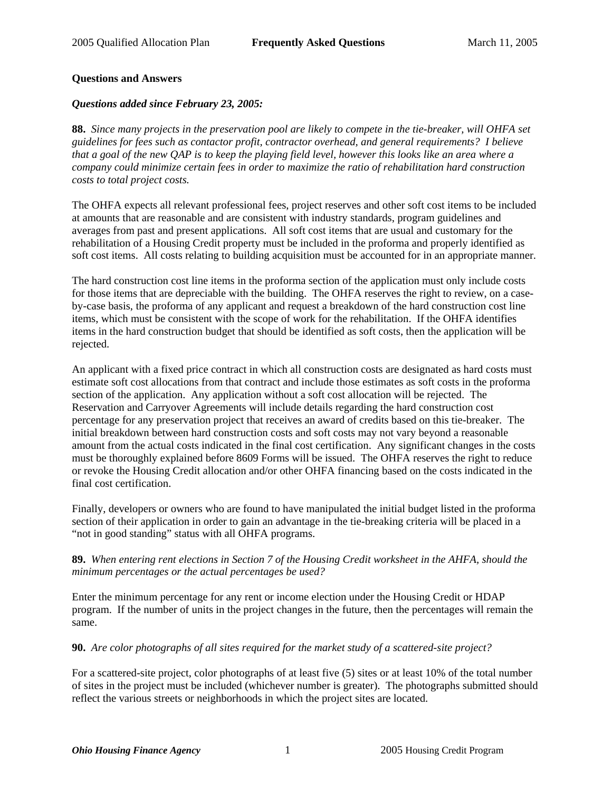## **Questions and Answers**

## *Questions added since February 23, 2005:*

**88.** *Since many projects in the preservation pool are likely to compete in the tie-breaker, will OHFA set guidelines for fees such as contactor profit, contractor overhead, and general requirements? I believe that a goal of the new QAP is to keep the playing field level, however this looks like an area where a company could minimize certain fees in order to maximize the ratio of rehabilitation hard construction costs to total project costs.*

The OHFA expects all relevant professional fees, project reserves and other soft cost items to be included at amounts that are reasonable and are consistent with industry standards, program guidelines and averages from past and present applications. All soft cost items that are usual and customary for the rehabilitation of a Housing Credit property must be included in the proforma and properly identified as soft cost items. All costs relating to building acquisition must be accounted for in an appropriate manner.

The hard construction cost line items in the proforma section of the application must only include costs for those items that are depreciable with the building. The OHFA reserves the right to review, on a caseby-case basis, the proforma of any applicant and request a breakdown of the hard construction cost line items, which must be consistent with the scope of work for the rehabilitation. If the OHFA identifies items in the hard construction budget that should be identified as soft costs, then the application will be rejected.

An applicant with a fixed price contract in which all construction costs are designated as hard costs must estimate soft cost allocations from that contract and include those estimates as soft costs in the proforma section of the application. Any application without a soft cost allocation will be rejected. The Reservation and Carryover Agreements will include details regarding the hard construction cost percentage for any preservation project that receives an award of credits based on this tie-breaker. The initial breakdown between hard construction costs and soft costs may not vary beyond a reasonable amount from the actual costs indicated in the final cost certification. Any significant changes in the costs must be thoroughly explained before 8609 Forms will be issued. The OHFA reserves the right to reduce or revoke the Housing Credit allocation and/or other OHFA financing based on the costs indicated in the final cost certification.

Finally, developers or owners who are found to have manipulated the initial budget listed in the proforma section of their application in order to gain an advantage in the tie-breaking criteria will be placed in a "not in good standing" status with all OHFA programs.

## **89.** *When entering rent elections in Section 7 of the Housing Credit worksheet in the AHFA, should the minimum percentages or the actual percentages be used?*

Enter the minimum percentage for any rent or income election under the Housing Credit or HDAP program. If the number of units in the project changes in the future, then the percentages will remain the same.

## **90.** *Are color photographs of all sites required for the market study of a scattered-site project?*

For a scattered-site project, color photographs of at least five (5) sites or at least 10% of the total number of sites in the project must be included (whichever number is greater). The photographs submitted should reflect the various streets or neighborhoods in which the project sites are located.